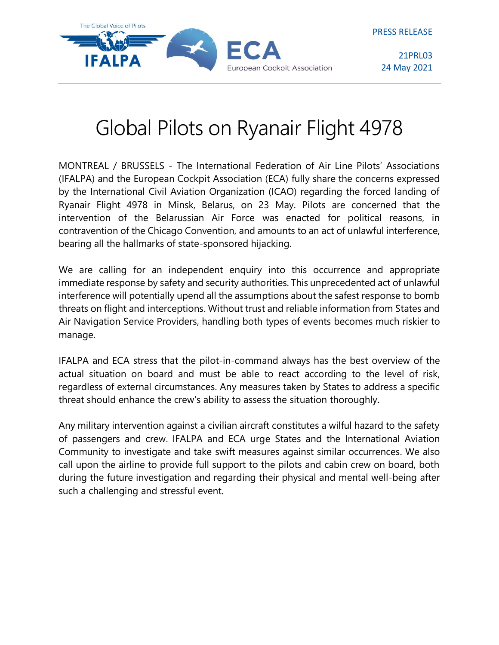

21PRL03 24 May 2021

## Global Pilots on Ryanair Flight 4978

MONTREAL / BRUSSELS - The International Federation of Air Line Pilots' Associations (IFALPA) and the European Cockpit Association (ECA) fully share the concerns expressed by the International Civil Aviation Organization (ICAO) regarding the forced landing of Ryanair Flight 4978 in Minsk, Belarus, on 23 May. Pilots are concerned that the intervention of the Belarussian Air Force was enacted for political reasons, in contravention of the Chicago Convention, and amounts to an act of unlawful interference, bearing all the hallmarks of state-sponsored hijacking.

We are calling for an independent enquiry into this occurrence and appropriate immediate response by safety and security authorities. This unprecedented act of unlawful interference will potentially upend all the assumptions about the safest response to bomb threats on flight and interceptions. Without trust and reliable information from States and Air Navigation Service Providers, handling both types of events becomes much riskier to manage.

IFALPA and ECA stress that the pilot-in-command always has the best overview of the actual situation on board and must be able to react according to the level of risk, regardless of external circumstances. Any measures taken by States to address a specific threat should enhance the crew's ability to assess the situation thoroughly.

Any military intervention against a civilian aircraft constitutes a wilful hazard to the safety of passengers and crew. IFALPA and ECA urge States and the International Aviation Community to investigate and take swift measures against similar occurrences. We also call upon the airline to provide full support to the pilots and cabin crew on board, both during the future investigation and regarding their physical and mental well-being after such a challenging and stressful event.